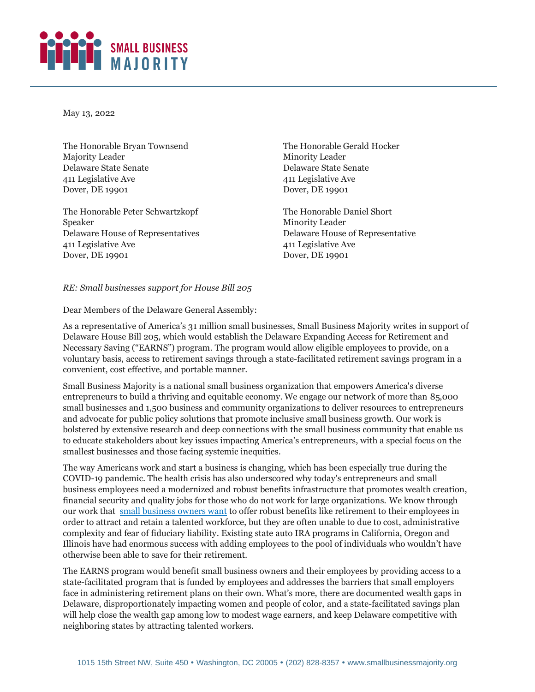## SMALL BUSINESS

May 13, 2022

The Honorable Bryan Townsend Majority Leader Delaware State Senate 411 Legislative Ave Dover, DE 19901

The Honorable Peter Schwartzkopf Speaker Delaware House of Representatives 411 Legislative Ave Dover, DE 19901

The Honorable Gerald Hocker Minority Leader Delaware State Senate 411 Legislative Ave Dover, DE 19901

The Honorable Daniel Short Minority Leader Delaware House of Representative 411 Legislative Ave Dover, DE 19901

## *RE: Small businesses support for House Bill 205*

Dear Members of the Delaware General Assembly:

As a representative of America's 31 million small businesses, Small Business Majority writes in support of Delaware House Bill 205, which would establish the Delaware Expanding Access for Retirement and Necessary Saving ("EARNS") program. The program would allow eligible employees to provide, on a voluntary basis, access to retirement savings through a state-facilitated retirement savings program in a convenient, cost effective, and portable manner.

Small Business Majority is a national small business organization that empowers America's diverse entrepreneurs to build a thriving and equitable economy. We engage our network of more than 85,000 small businesses and 1,500 business and community organizations to deliver resources to entrepreneurs and advocate for public policy solutions that promote inclusive small business growth. Our work is bolstered by extensive research and deep connections with the small business community that enable us to educate stakeholders about key issues impacting America's entrepreneurs, with a special focus on the smallest businesses and those facing systemic inequities.

The way Americans work and start a business is changing, which has been especially true during the COVID-19 pandemic. The health crisis has also underscored why today's entrepreneurs and small business employees need a modernized and robust benefits infrastructure that promotes wealth creation, financial security and quality jobs for those who do not work for large organizations. We know through our work that [small business owners want](https://smallbusinessmajority.org/our-research/small-businesses-support-bold-investments-child-care) to offer robust benefits like retirement to their employees in order to attract and retain a talented workforce, but they are often unable to due to cost, administrative complexity and fear of fiduciary liability. Existing state auto IRA programs in California, Oregon and Illinois have had enormous success with adding employees to the pool of individuals who wouldn't have otherwise been able to save for their retirement.

The EARNS program would benefit small business owners and their employees by providing access to a state-facilitated program that is funded by employees and addresses the barriers that small employers face in administering retirement plans on their own. What's more, there are documented wealth gaps in Delaware, disproportionately impacting women and people of color, and a state-facilitated savings plan will help close the wealth gap among low to modest wage earners, and keep Delaware competitive with neighboring states by attracting talented workers.